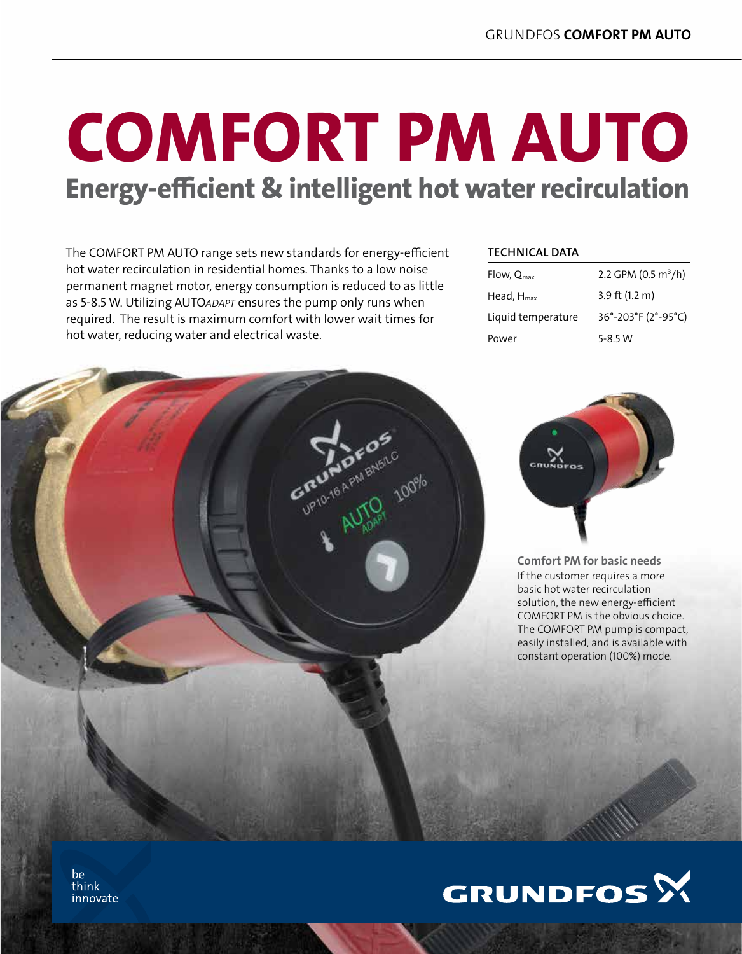# comfort pm auto Energy-efficient & intelligent hot water recirculation

The COMFORT PM AUTO range sets new standards for energy-efficient hot water recirculation in residential homes. Thanks to a low noise permanent magnet motor, energy consumption is reduced to as little as 5-8.5 W. Utilizing AUTO*adapt* ensures the pump only runs when required. The result is maximum comfort with lower wait times for hot water, reducing water and electrical waste.

# **TECHNICAL DATA**

| Flow, $Q_{\text{max}}$ | 2.2 GPM (0.5 m <sup>3</sup> /h) |
|------------------------|---------------------------------|
| Head, $H_{\text{max}}$ | 3.9 ft $(1.2 m)$                |
| Liquid temperature     | 36°-203°F (2°-95°C)             |
| Power                  | $5 - 8.5 W$                     |